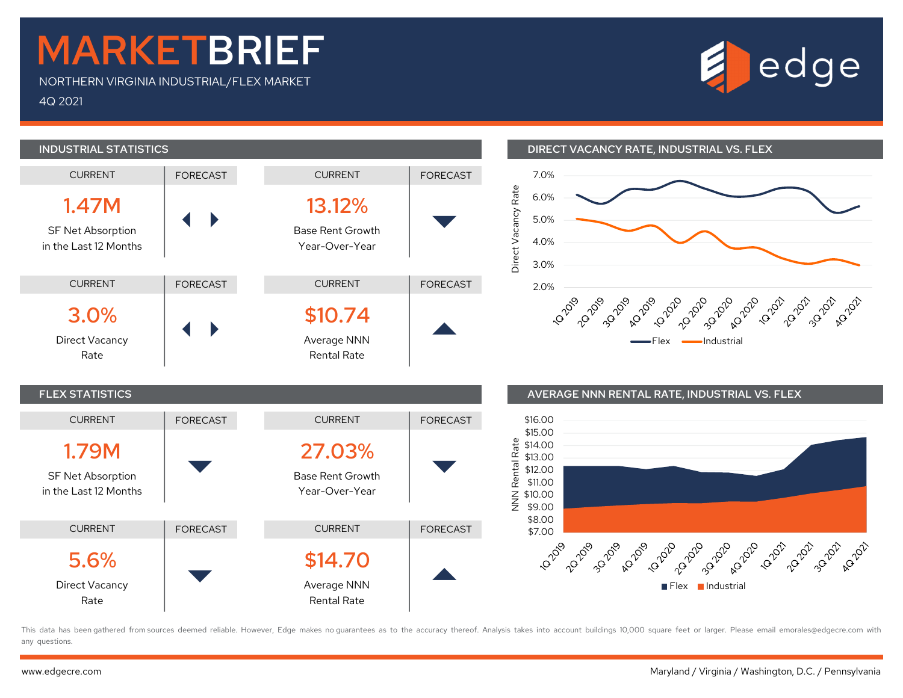## MARKETBRIEF

NORTHERN VIRGINIA INDUSTRIAL/FLEX MARKET 4Q 2021





## INDUSTRIAL STATISTICS DIRECT VACANCY RATE, INDUSTRIAL VS. FLEX





This data has been gathered from sources deemed reliable. However, Edge makes no quarantees as to the accuracy thereof. Analysis takes into account buildings 10,000 square feet or larger. Please email emorales@edgecre.com any questions.